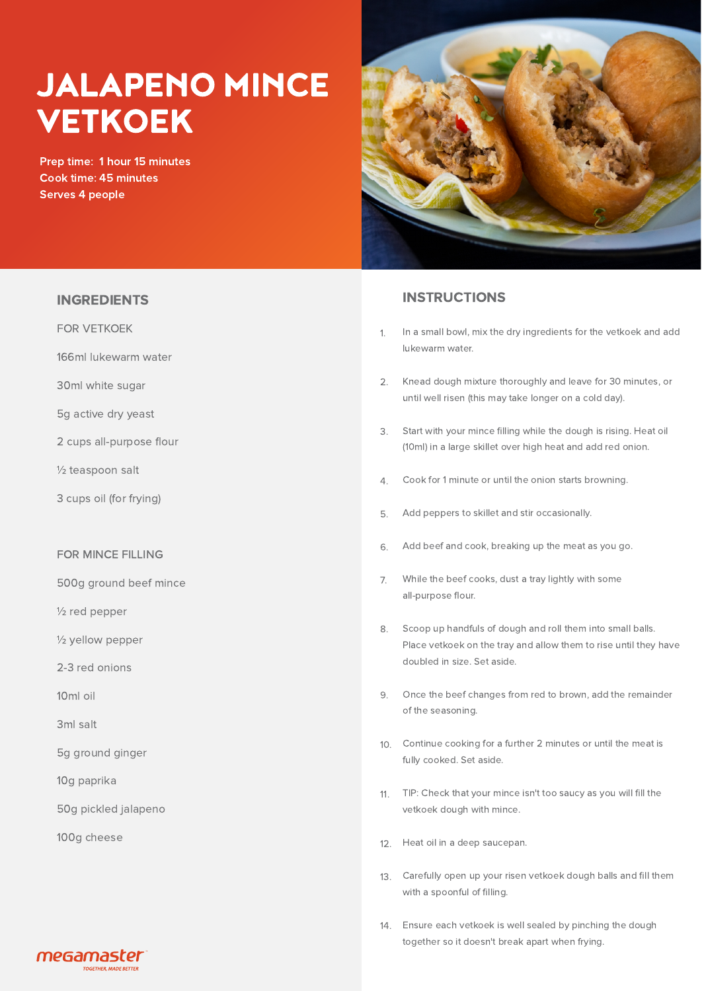# JALAPENO MINCE VETKOEK

Prep time: 1 hour 15 minutes Cook time: 45 minutes Serves 4 people



### INSTRUCTIONS

- In a small bowl, mix the dry ingredients for the vetkoek and add lukewarm water. 1.
- Knead dough mixture thoroughly and leave for 30 minutes, or until well risen (this may take longer on a cold day). 2.
- Start with your mince filling while the dough is rising. Heat oil (10ml) in a large skillet over high heat and add red onion. 3.
- Cook for 1 minute or until the onion starts browning. 4.
- Add peppers to skillet and stir occasionally. 5.
- Add beef and cook, breaking up the meat as you go. 6.
- While the beef cooks, dust a tray lightly with some all-purpose flour. 7.
- Scoop up handfuls of dough and roll them into small balls. Place vetkoek on the tray and allow them to rise until they have doubled in size. Set aside. 8.
- Once the beef changes from red to brown, add the remainder of the seasoning.  $\circ$
- 10. Continue cooking for a further 2 minutes or until the meat is fully cooked. Set aside.
- TIP: Check that your mince isn't too saucy as you will fill the 11. vetkoek dough with mince.
- 12. Heat oil in a deep saucepan.
- Carefully open up your risen vetkoek dough balls and fill them 13. with a spoonful of filling.
- Ensure each vetkoek is well sealed by pinching the dough 14. together so it doesn't break apart when frying.

## INGREDIENTS

FOR VETKOEK

166ml lukewarm water

30ml white sugar

- 5g active dry yeast
- 2 cups all-purpose flour
- ½ teaspoon salt
- 3 cups oil (for frying)

#### FOR MINCE FILLING

- 500g ground beef mince
- ½ red pepper
- ½ yellow pepper
- 2-3 red onions
- 10ml oil
- 3ml salt
- 5g ground ginger
- 10g paprika
- 50g pickled jalapeno
- 100g cheese